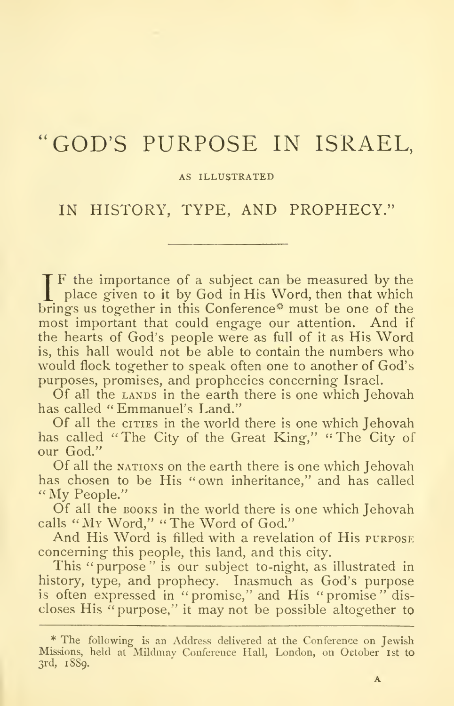# "GOD'S PURPOSE IN ISRAEL,

### AS ILLUSTRATED

## IN HISTORY, TYPE, AND PROPHECY."

If the importance of a subject can be measured by the place given to it by God in His Word, then that which brings us together in this Conference<sup>®</sup> must be one of the most important that could engage our attention. And if the hearts of God's people were as full of it as His Word is, this hall would not be able to contain the numbers who would flock together to speak often one to another of God's purposes, promises, and prophecies concerning Israel.

Of all the LANDS in the earth there is one which Jehovah has called "Emmanuel's Land."

Of all the ciries in the world there is one which Jehovah has called "The City of the Great King," "The City of our God."

Of all the NATIONS on the earth there is one which Jehovah has chosen to be His "own inheritance," and has called "My People."

Of all the  $\frac{1}{100}$  in the world there is one which Jehovah calls "My Word," "The Word of God,"

And His Word is filled with a revelation of His purpose concerning this people, this land, and this city.

This "purpose" is our subject to-night, as illustrated in history, type, and prophecy. Inasmuch as God's purpose is often expressed in "promise," and His "promise" dis closes His "purpose," it may not be possible altogether to

<sup>\*</sup> The following is an Address delivered at the Conference on Jewish Missions, held at Mildmav Conference Hall, London, on October 1st to 3rd, 1889.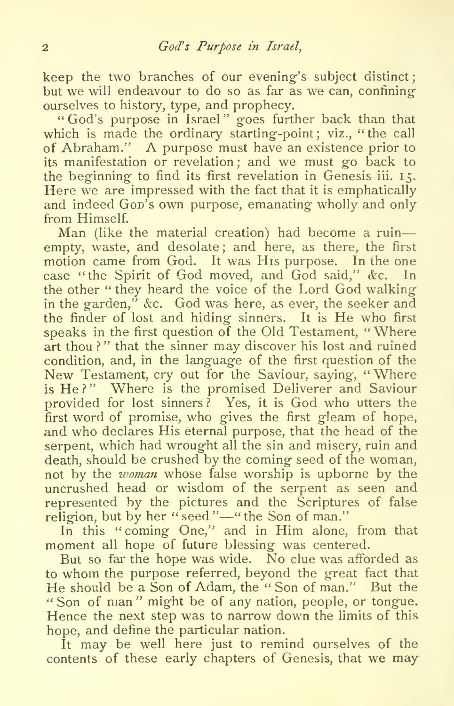keep the two branches of our evening's subject distinct; but we will endeavour to do so as far as we can, confiningourselves to history, type, and prophecy.

God's purpose in Israel " goes further back than that which is made the ordinary starting-point; viz., "the call of Abraham." A purpose must have an existence prior to its manifestation or revelation ; and we must go back to the beginning to find its first revelation in Genesis iii. 15. Here we are impressed with the fact that it is emphatically and indeed Gop's own purpose, emanating wholly and only from Himself.

Man (like the material creation) had become a ruin empty, waste, and desolate; and here, as there, the first motion came from God. It was His purpose. In the one case ''the Spirit of God moved, and God said," &c. In the other " they heard the voice of the Lord God walking in the garden," &c. God was here, as ever, the seeker and the finder of lost and hiding sinners. It is He who first speaks in the first question of the Old Testament, "Where art thou?" that the sinner may discover his lost and ruined condition, and, in the language of the first question of the New Testament, cry out for the Saviour, saying, "Where is He?" Where is the promised Deliverer and Saviour provided for lost sinners? Yes, it is God who utters the first word of promise, who gives the first gleam of hope, and who declares His eternal purpose, that the head of the serpent, which had wrought all the sin and misery, ruin and death, should be crushed by the coming seed of the woman, not by the *woman* whose false worship is upborne by the uncrushed head or wisdom of the serpent as seen and represented by the pictures and the Scriptures of false religion, but by her "seed"—"the Son of man."

In this "coming One," and in Him alone, from that moment all hope of future blessing was centered.

But so far the hope was wide. No clue was afforded as to whom the purpose referred, beyond the great fact that He should be a Son of Adam, the " Son of man." But the " Son of man" might be of any nation, people, or tongue. Hence the next step was to narrow down the limits of this hope, and define the particular nation.

It may be well here just to remind ourselves of the contents of these early chapters of Genesis, that we may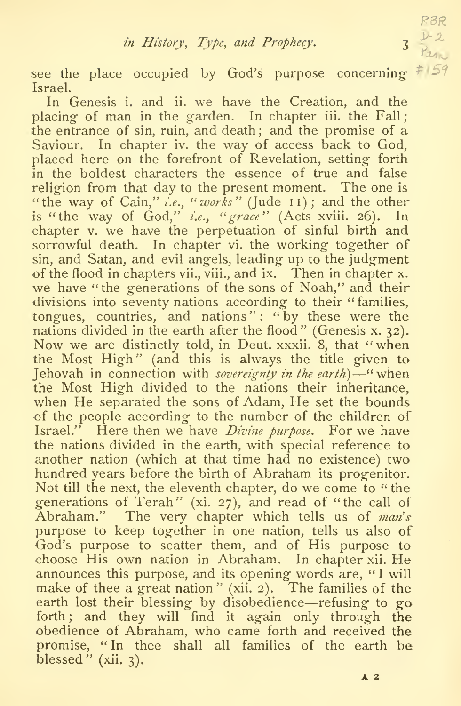RBR

see the place occupied by God's purpose concerning-Israel.

In Genesis i. and ii. we have the Creation, and the placing of man in the garden. In chapter iii. the Fall; the entrance of sin, ruin, and death; and the promise of a Saviour. In chapter iv. the way of access back to God, placed here on the forefront of Revelation, setting forth in the boldest characters the essence of true and false religion from that day to the present moment. The one is'the way of Cain," *i.e.*, "*works*" (Jude 11); and the other is "the way of God," *i.e.*, "grace" (Acts xviii. 26). In chapter v. we have the perpetuation of sinful birth and sorrowful death. In chapter vi. the working together of sin, and Satan, and evil angels, leading up to the judgment of the flood in chapters vii., viii., and ix. Then in chapter x. we have "the generations of the sons of Noah," and their divisions into seventy nations according to their ''families, tongues, countries, and nations": "by these were the nations divided in the earth after the flood" (Genesis x. 32). Now we are distinctly told, in Deut. xxxii. 8, that "when the Most High" (and this is always the title given to Jehovah in connection with *sovereignty in the earth*) $\frac{1}{2}$ " when the Most High divided to the nations their inheritance, when He separated the sons of Adam, He set the bounds of the people according to the number of the children of Israel." Here then we have *Divine purpose*. For we have the nations divided in the earth, with special reference to another nation (which at that time had no existence) two hundred years before the birth of Abraham its progenitor. Not till the next, the eleventh chapter, do we come to " the generations of  $T$ erah" (xi. 27), and read of "the call of  $\hspace{0.1cm}$ Abraham." The very chapter which tells us of man's purpose to keep together in one nation, tells us also of God's purpose to scatter them, and of His purpose to choose His own nation in Abraham. In chapter xii. He announces this purpose, and its opening words are, " <sup>I</sup> will make of thee a great nation" (xii. 2). The families of the earth lost their blessing by disobedience—refusing to go forth; and they will find it again only through the obedience of Abraham, who came forth and received the promise, "In thee shall all families of the earth be blessed" (xii.  $3$ ).

 $A<sub>2</sub>$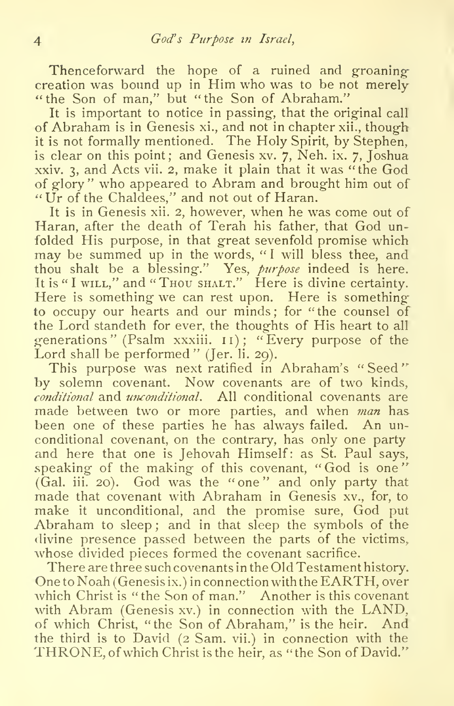Thenceforward the hope of a ruined and groaningcreation was bound up in Him who was to be not merely "the Son of man," but "the Son of Abraham."

It is important to notice in passing, that the original call of Abraham is in Genesis xi., and not in chapter xii., though it is not formally mentioned. The Holy Spirit, by Stephen, is clear on this point; and Genesis xv. 7, Neh. ix. 7, Joshua xxiv. 3, and Acts vii. 2, make it plain that it was "the God of glory" who appeared to Abram and brought him out of "Ur of the Chaldees," and not out of Haran.

It is in Genesis xii. 2, however, when he was come out of Haran, after the death of Terah his father, that God unfolded His purpose, in that great sevenfold promise which may be summed up in the words, "I will bless thee, and thou shalt be a blessing." Yes, *purpose* indeed is here. It is "I wILL," and "Thou shalt." Here is divine certainty. Here is something we can rest upon. Here is something to occupy our hearts and our minds; for "the counsel of the Lord standeth for ever, the thoughts of His heart to all generations" (Psalm xxxiii. 11); "Every purpose of the Lord shall be performed" (Jer. li. 29).

This purpose was next ratified in Abraham's "Seed" by solemn covenant. Now covenants are of two kinds,  $conditional$  and  $unconditional$ . All conditional covenants are made between two or more parties, and when man has been one of these parties he has always failed. An unconditional covenant, on the contrary, has only one party and here that one is Jehovah Himself: as St. Paul says, speaking of the making of this covenant, "God is one" (Gal. iii. 20). God was the "one" and only party that made that covenant with Abraham in Genesis xv., for, to make it unconditional, and the promise sure, God put Abraham to sleep ; and in that sleep the symbols of the divine presence passed between the parts of the victims. whose divided pieces formed the covenant sacrifice.

There are three such covenants in the Old Testament history. One to Noah (Genesis ix.) in connection with the EARTH, over which Christ is "the Son of man." Another is this covenant with Abram (Genesis xv.) in connection with the LAND, of which Christ, "the Son of Abraham," is the heir. And the third is to David (2 Sam. vii.) in connection with the THRONE, of which Christ is the heir, as " the Son of David."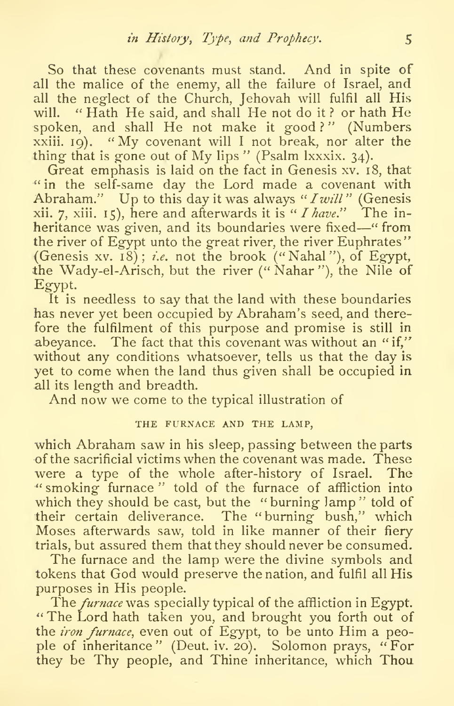So that these covenants must stand. And in spite of all the malice of the enemy, all the failure of Israel, and all the neglect of the Church, Jehovah will fulfil all His will. "Hath He said, and shall He not do it? or hath He spoken, and shall He not make it good?" (Numbers xxiii. 19). "My covenant will <sup>I</sup> not break, nor alter the thing that is gone out of My lips" (Psalm Ixxxix. 34).

Great emphasis is laid on the fact in Genesis xv. 18, that " in the self-same day the Lord made a covenant with Abraham." Up to this day it was always " I will" (Genesis xii. 7, xiii. 15), here and afterwards it is "*I have.*" The inheritance was given, and its boundaries were fixed—" from the river of Egypt unto the great river, the river Euphrates" (Genesis xv. 18); i.e. not the brook ("Nahal"), of Egypt, the Wady-el-Arisch, but the river  $($ " Nahar"), the Nile of Egypt.

It is needless to say that the land with these boundaries has never yet been occupied by Abraham's seed, and therefore the fulfilment of this purpose and promise is still in abeyance. The fact that this covenant was without an "if," without any conditions whatsoever, tells us that the day is yet to come when the land thus given shall be occupied in.all its length and breadth.

And now we come to the typical illustration of

## THE FURNACE AND THE LAMP,

which Abraham saw in his sleep, passing between the parts of the sacrificial victims when the covenant was made. These were a type of the whole after-history of Israel. The ''smoking furnace" told of the furnace of affliction into which they should be cast, but the "burning lamp" told of their certain deliverance. The "burning bush," which Moses afterwards saw, told in like manner of their fiery trials, but assured them that they should never be consumed.

The furnace and the lamp were the divine symbols and tokens that God would preserve the nation, and fulfil all His purposes in His people.

The *furnace* was specially typical of the affliction in Egypt. '\* The Lord hath taken you, and brought you forth out of the *iron furnace*, even out of Egypt, to be unto Him a people of inheritance" (Deut. iv. 20). Solomon prays, "For they be Thy people, and Thine inheritance, which Thou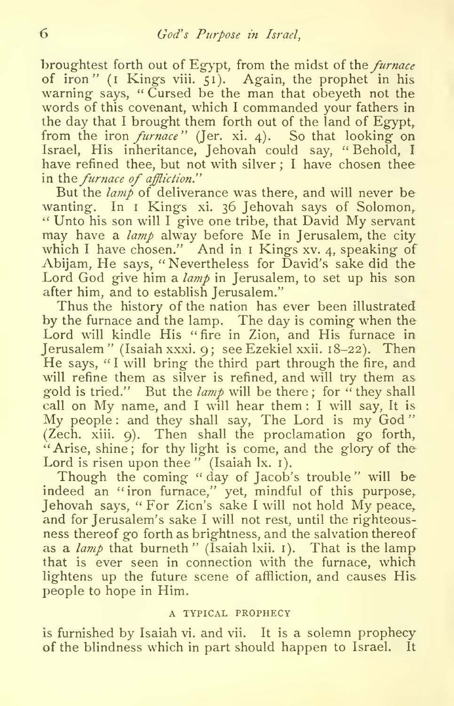broughtest forth out of Egypt, from the midst of the *furnace* of iron" (i Kings viii. 51). Again, the prophet in his warning says, "Cursed be the man that obeyeth not the words of this covenant, which <sup>I</sup> commanded your fathers in the day that <sup>I</sup> brought them forth out of the land of Egypt, from the iron *furnace*" (Jer. xi. 4). So that looking on Israel, His inheritance, Jehovah could say, " Behold, <sup>I</sup>have refined thee, but not with silver ; <sup>I</sup> have chosen thee in the furnace of affliction."

But the  $\lambda$  amp of deliverance was there, and will never be wanting. In I Kings xi. 36 Jehovah says of Solomon, " Unto his son will I give one tribe, that David My servant may have a *lamp* alway before Me in Jerusalem, the city which I have chosen." And in  $\bar{I}$  Kings xv. 4, speaking of Abijam, He says, " Nevertheless for David's sake did the Lord God give him a  $\lambda$ amp in Jerusalem, to set up his son after him, and to establish Jerusalem."

Thus the history of the nation has ever been illustrated by the furnace and the lamp. The day is coming when the Lord will kindle His "fire in Zion, and His furnace in Jerusalem " (Isaiah xxxi. 9; see Ezekiel xxii. 18-22). Then He says, "I will bring the third part through the fire, and will refine them as silver is refined, and will try them as gold is tried." But the  $\lambda$  lamp will be there; for "they shall call on My name, and I will hear them : I will say, It is My people: and they shall say. The Lord is my God" (Zech. xiii. 9). Then shall the proclamation go forth, "Arise, shine; for thy light is come, and the glory of the Lord is risen upon thee" (Isaiah lx. 1).

Though the coming "day of Jacob's trouble" will be indeed an ''iron furnace,'' yet, mindful of this purpose,<br>Jehovah says, ''For Zicn's sake I will not hold My peace, and for Jerusalem's sake <sup>I</sup> will not rest, until the righteous ness thereof go forth as brightness, and the salvation thereof as a *lamp* that burneth" (Isaiah Ixii. 1). That is the lamp that is ever seen in connection with the furnace, which lightens up the future scene of affliction, and causes His people to hope in Him.

## A TYPICAL PROPHECY

is furnished by Isaiah vi. and vii. It is a solemn prophecy of the blindness which in part should happen to Israel. It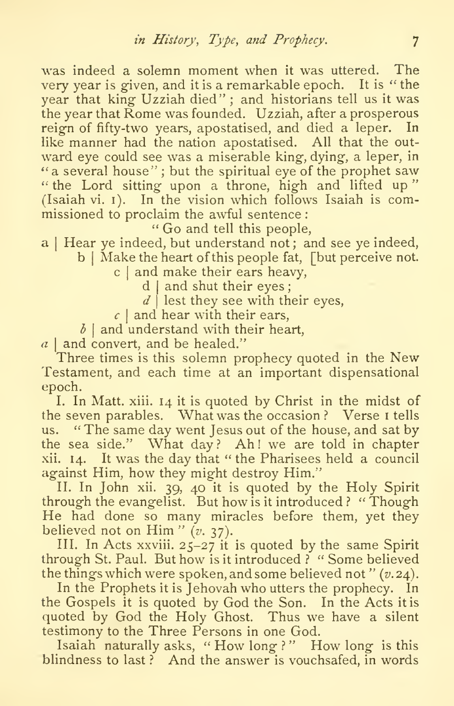was indeed a solemn moment when it was uttered. The very year is given, and it is a remarkable epoch. It is "the year that king Uzziah died" ; and historians tell us it was the year that Rome was founded. Uzziah, after a prosperous reign of fifty-two years, apostatised, and died a leper. In like manner had the nation apostatised. All that the outward eye could see was a miserable king, dying, a leper, in "a several house"; but the spiritual eye of the prophet saw "the Lord sitting upon a throne, high and lifted up" (Isaiah vi. i). In the vision which follows Isaiah is commissioned to proclaim the awful sentence :

Go and tell this people,

a | Hear ye indeed, but understand not; and see ye indeed, b | Make the heart of this people fat, [but perceive not.

c  $|$  and make their ears heavy,  $\overline{\phantom{a}}$ 

 $d$  | and shut their eyes;

 $d\mid$  lest they see with their eyes,  $d\mid$ 

 $\epsilon$  | and hear with their ears,  $\hspace{1cm}$ 

 $\delta$  | and understand with their heart,  $\hspace{0.1cm}$ 

 $a \mid$  and convert, and be healed."

Three times is this solemn prophecy quoted in the New Testament, and each time at an important dispensational epoch.

I. In Matt. xiii. 14 it is quoted by Christ in the midst of the seven parables. What was the occasion? Verse I tells us. " The same day went Jesus out of the house, and sat by the sea side." What  $day$ ? Ah! we are told in chapter xii. 14. It was the day that " the Pharisees held a council against Him, how they might destroy Him."

II. In John xii. 39, 40 it is quoted by the Holy Spirit through the evangelist. But how is it introduced } " Though He had done so many miracles before them, yet they believed not on Him"  $(v. 37)$ .

III. In Acts xxviii. 25-27 it is quoted by the same Spirit through St. Paul. But how is it introduced ? " Some believed the things which were spoken, and some believed not " $(v.24)$ .

In the Prophets it is Jehovah who utters the prophecy. In the Gospels it is quoted by God the Son. In the Acts it is quoted by God the Holy Ghost. Thus we have a silent testimony to the Three Persons in one God.

Isaiah naturally asks, "How long ?" How long is this blindness to last? And the answer is vouchsafed, in words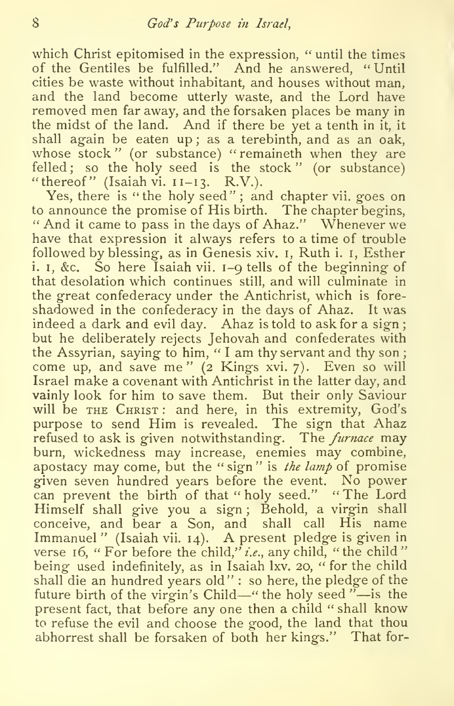which Christ epitomised in the expression, " until the times of the Gentiles be fulfilled." And he answered, "Until cities be waste without inhabitant, and houses without man, and the land become utterly waste, and the Lord have removed men far away, and the forsaken places be many in the midst of the land. And if there be yet a tenth in it, it shall again be eaten up ; as a terebinth, and as an oak, whose stock" (or substance) "remaineth when they are felled; so the holy seed is the stock" (or substance) "thereof" (Isaiah vi.  $II-I3$ . R.V.).

Yes, there is "the holy seed"; and chapter vii. goes on to announce the promise of His birth. The chapter begins, " And it came to pass in the days of Ahaz." Whenever we have that expression it always refers to a time of trouble followed by blessing, as in Genesis xiv. i, Ruth i. i, Esther i. I, &c. So here Isaiah vii. 1-9 tells of the beginning of that desolation which continues still, and will culminate in the great confederacy under the Antichrist, which is fore shadowed in the confederacy in the days of Ahaz. It was indeed a dark and evil day. Ahaz is told to ask for a sign ; but he deliberately rejects Jehovah and confederates with the Assyrian, saying to him, "I am thy servant and thy son; come up, and save me" (2 Kings xvi. 7). Even so will Israel make acovenant with Antichrist in the latter day, and vainly look for him to save them. But their only Saviour will be THE CHRIST: and here, in this extremity, God's purpose to send Him is revealed. The sign that Ahaz refused to ask is given notwithstanding. The *furnace* may burn, wickedness may increase, enemies may combine, apostacy may come, but the " $sign$ " is the lamp of promise given seven hundred years before the event. No power can prevent the birth of that " holy seed." " The Lord Himself shall give you a sign; Behold, a virgin shall conceive, and bear a Son, and shall call His name Immanuel" (Isaiah vii. 14). A present pledge is given in verse 16, " For before the child," i.e., any child, " the child" being used indefinitely, as in Isaiah lxv. 20, " for the child shall die an hundred years old" : so here, the pledge of the future birth of the virgin's Child—" the holy seed "—is the present fact, that before any one then a child " shall know to refuse the evil and choose the good, the land that thou abhorrest shall be forsaken of both her kings." That for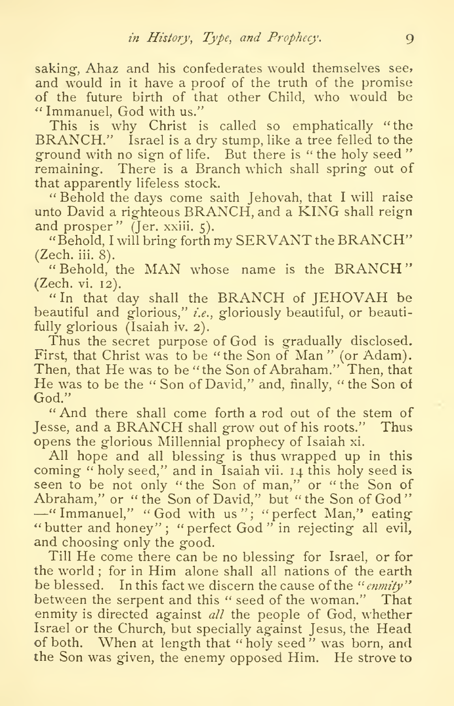saking, Ahaz and his confederates would themselves see, and would in it have a proof of the truth of the promise of the future birth of that other Child, who would be Immanuel, God with us."

BRANCH." Israel is a dry stump, like a tree felled to the ground with no sign of life. But there is " the holy seed " remaining. There is a Branch which shall spring out of that apparently lifeless stock.

" Behold the days come saith Jehovah, that <sup>I</sup> will raise unto David <sup>a</sup> righteous BRANCH, and <sup>a</sup> KING shall reign and prosper" (Jer. xxiii. 5).

" Behold, <sup>I</sup> will bring forth my SERVANT the BRANCH" (Zech, iii. 8).

"Behold, the MAN whose name is the BRANCH" (Zech. vi. 12).

"In that day shall the BRANCH of JEHOVAH be beautiful and glorious," i.e., gloriously beautiful, or beautifully glorious (Isaiah iv. 2).

Thus the secret purpose of God is gradually disclosed. First, that Christ was to be "the Son of Man" (or Adam).<br>Then, that He was to be "the Son of Abraham." Then, that He was to be the "Son of David," and, finally, " the Son of God."

" And there shall come forth a rod out of the stem of Jesse, and <sup>a</sup> BRANCH shall grow out of his roots." Thus opens the glorious Millennial prophecy of Isaiah xi.

All hope and all blessing is thus wrapped up in this coming "holy seed," and in Isaiah vii. 14 this holy seed is seen to be not only "the Son of man," or "the Son of Abraham," or "the Son of God" -" Immanuel," "God with us"; "perfect Man," eating " butter and honey"; " perfect God" in rejecting all evil, and choosing only the good.

Till He come there can be no blessing for Israel, or for the world ; for in Him alone shall all nations of the earth be blessed. In this fact we discern the cause of the "enmity" between the serpent and this " seed of the woman." That enmity is directed against all the people of God, whether Israel or the Church, but specially against Jesus, the Head of both. When at length that "holy seed" was born, and the Son was given, the enemy opposed Him. He strove to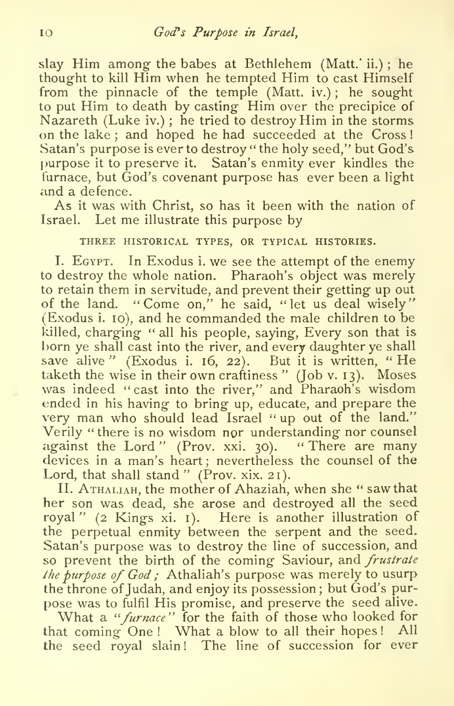slay Him among the babes at Bethlehem (Matt.' ii.); he thought to kill  $\overline{\text{Him}}$  when he tempted  $\overline{\text{Him}}$  to cast  $\overline{\text{Him}}$  self from the pinnacle of the temple (Matt, iv.) ; he sought to put Him to death by casting Him over the precipice of Nazareth (Luke iv.) ; he tried to destroy Him in the storms on the lake ; and hoped he had succeeded at the Cross Satan's purpose is ever to destroy " the holy seed," but God's purpose it to preserve it. Satan's enmity ever kindles the furnace, but God's covenant purpose has ever been a light and a defence.

As it was with Christ, so has it been with the nation of Israel. Let me illustrate this purpose by

## THREE HISTORICAL TYPES, OR TYPICAL HISTORIES.

L Egypt. In Exodus i. we see the attempt of the enemy to destroy the whole nation. Pharaoh's object was merely to retain them in servitude, and prevent their getting up out of the land. "Come on," he said, "let us deal wisely" (Exodus i. 10), and he commanded the male children to be killed, charging " all his people, saying, Every son that is born ye shall cast into the river, and every daughter ye shall save alive " (Exodus i.  $16, 22$ ). But it is written, "He taketh the wise in their own craftiness" (Job v. 13). Moses was indeed "cast into the river," and Pharaoh's wisdom ended in his having to bring up, educate, and prepare the very man who should lead Israel " up out of the land." Verily "there is no wisdom nor understanding nor counsel against the Lord" (Prov. xxi. 30). "There are many devices in a man's heart ; nevertheless the counsel of the Lord, that shall stand " (Prov. xix. 21).

II. Athaliah, the mother of Ahaziah, when she " saw that her son was dead, she arose and destroyed all the seed royal" (2 Kings xi. i). Here is another illustration of the perpetual enmity between the serpent and the seed. Satan's purpose was to destroy the line of succession, and so prevent the birth of the coming Saviour, and frustrate the purpose of  $God$ : Athaliah's purpose was merely to usurp the throne of Judah, and enjoy its possession; but God's pur pose was to fulfil His promise, and preserve the seed alive.

What a "furnace" for the faith of those who looked for that coming One ! What a blow to all their hopes! All the seed royal slain! The line of succession for ever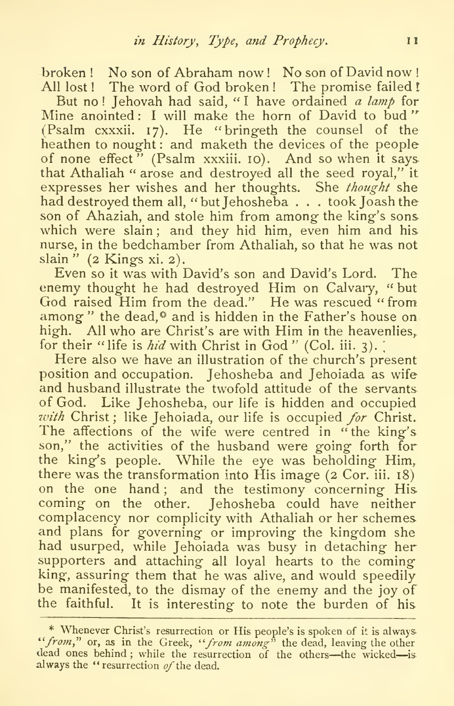broken ! No son of Abraham now ! No son of David now ! All lost ! The word of God broken ! The promise failed !

But no! Jehovah had said, "I have ordained a lamp for Mine anointed: I will make the horn of David to bud" (Psalm cxxxii. 17). He " bringeth the counsel of the heathen to nought: and maketh the devices of the people of none effect<sup>"</sup> (Psalm xxxiii. 10). And so when it says that Athaliah " arose and destroyed all the seed royal," it expresses her wishes and her thoughts. She *thought* she had destroyed them all, ''but Jehosheba . . . took Joash the son of Ahaziah, and stole him from among the king's sons which were slain; and they hid him, even him and his nurse, in the bedchamber from Athaliah, so that he was not slain" (2 Kings xi. 2).

Even so it was with David's son and David's Lord. The enemy thought he had destroyed Him on Calvary, " but God raised Him from the dead." He was rescued "from among" the dead,<sup>\*</sup> and is hidden in the Father's house on high. All who are Christ's are with Him in the heavenlies, for their "life is *hid* with Christ in God" (Col. iii. 3).<br>Here also we have an illustration of the church's present

position and occupation. Jehosheba and Jehoiada as wife and husband illustrate the twofold attitude of the servants of God. Like Jehosheba, our life is hidden and occupied with Christ; like Jehoiada, our life is occupied for Christ. The affections of the wife were centred in "the king's son," the activities of the husband were going forth for the king's people. While the eye was beholding Him, there was the transformation into His image (2 Cor. iii. 18) on the one hand; and the testimony concerning His coming on the other. Jehosheba could have neither complacency nor complicity with Athaliah or her schemes and plans for governing or improving the kingdom she had usurped, while Jehoiada was busy in detaching her supporters and attaching all loyal hearts to the coming king, assuring them that he was alive, and would speedily be manifested, to the dismay of the enemy and the joy of the faithful. It is interesting to note the burden of his

<sup>\*</sup> Whenever Christ's resurrection or His people's is spoken of it is always-"'*from*," or, as in the Greek, "'*from among*" the dead, leaving the other dead ones behind ; while the resurrection of the others—the wicked—is always the "resurrection  $of$  the dead.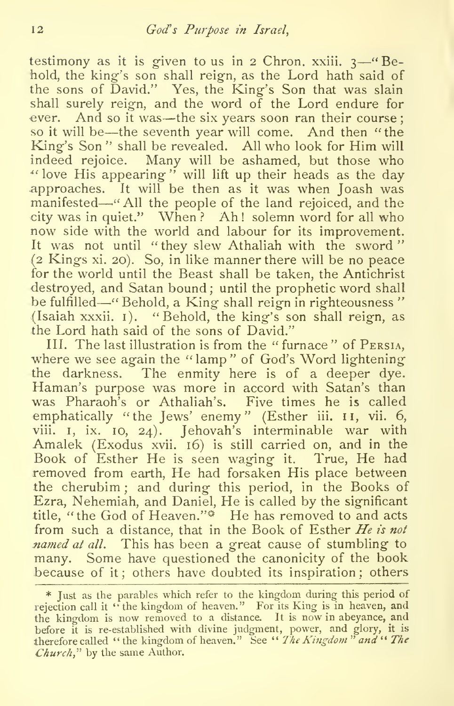testimony as it is given to us in 2 Chron. xxiii.  $3-4$  Behold, the king's son shall reign, as the Lord hath said of the sons of David." Yes, the King's Son that was slain shall surely reign, and the word of the Lord endure for ever. And so it was—the six years soon ran their course; so itwill be—the seventh year will come. And then "the King's Son " shall be revealed. All who look for Him will indeed rejoice. Many will be ashamed, but those who -"love His appearing" will lift up their heads as the day approaches. It will be then as it was when Joash was manifested—."AH the people of the land rejoiced, and the city was in quiet." When ? Ah ! solemn word for all who now side with the world and labour for its improvement. It was not until "they slew Athaliah with the sword" (2 Kings xi. 20). So, in like manner there will be no peace for the world until the Beast shall be taken, the Antichrist destroyed, and Satan bound ; until the prophetic word shall be fulfilled—" Behold, a King shall reign in righteousness" (Isaiah xxxii.  $I$ ). "Behold, the king's son shall reign, as the Lord hath said of the sons of David."

III. The last illustration is from the " furnace " of Persia, •where we see again the " lamp " of God's Word lightening the darkness. The enmity here is of a deeper dye. Haman's purpose was more in accord with Satan's than was Pharaoh's or Athaliah's. Five times he is called emphatically "the Jews' enemy" (Esther iii. 11, vii. 6, viii. I, ix. 10, 24). Jehovah's interminable war with Amalek (Exodus xvii. 16) is still carried on, and in the Book of Esther He is seen waging it. True, He had removed from earth, He had forsaken His place between the cherubim ; and during this period, in the Books of Ezra, Nehemiah, and Daniel, He is called by the significant title, "the God of Heaven."<sup>4</sup> He has removed to and acts from such a distance, that in the Book of Esther  $He$  is not named at all. This has been a great cause of stumbling to many. Some have questioned the canonicity of the book because of it; others have doubted its inspiration; others

<sup>\*</sup> Just as the parables which refer to the kingdom during this period of rejection call it " the kingdom of heaven." For its King is in heaven, and the kingdom is now removed to a distance. It is now in abeyance, and before it is re-established with divine judgment, power, and glory, it is therefore called " the kingdom of heaven." See " The Kingdom " and " The Church," by the same Author.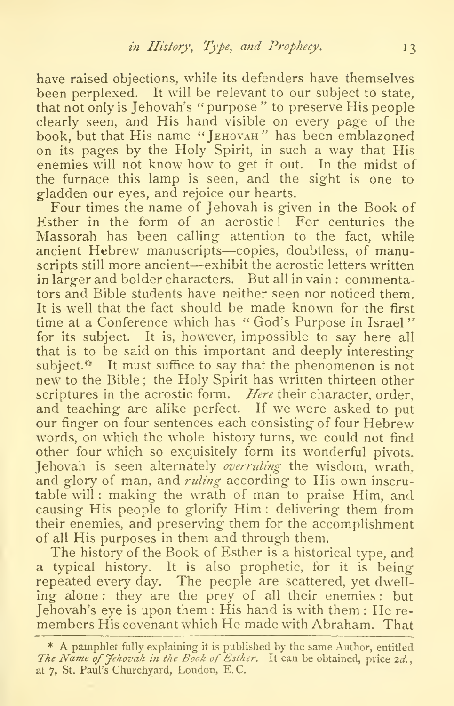have raised objections, while its defenders have themselves been perplexed. It will be relevant to our subject to state. that not only is Jehovah's "purpose" to preserve His people clearly seen, and His hand visible on every page of the book, but that His name "Jehovah" has been emblazoned on its pag-es by the Holy Spirit, in such a way that His enemies will not know how to get it out. In the midst of the furnace this lamp is seen, and the sight is one to gladden our eyes, and rejoice our hearts.

Four times the name of Jehovah is given in the Book of Esther in the form of an acrostic! For centuries the Massorah has been calling attention to the fact, while ancient Hebrew manuscripts—copies, doubtless, of manuscripts still more ancient—exhibit the acrostic letters written in larger and bolder characters. But all in vain : commentators and Bible students have neither seen nor noticed them. It is well that the fact should be made known for the first time at a Conference which has "God's Purpose in Israel" for its subject. It is, however, impossible to say here all that is to be said on this important and deeply interesting subject. $*$  It must suffice to say that the phenomenon is not new to the Bible ; the Holy Spirit has written thirteen other scriptures in the acrostic form. Here their character, order, and teaching are alike perfect. If we were asked to put our finger on four sentences each consisting of four Hebrew words, on which the whole history turns, we could not find other four which so exquisitely form its wonderful pivots. Jehovah is seen alternately overruling the wisdom, wrath, and glory of man, and *ruling* according to His own inscrutable will : making the wrath of man to praise Him, and causing His people to glorify Him : delivering them from their enemies, and preserving them for the accomplishment of all His purposes in them and through them.

The history of the Book of Esther is a historical type, and a typical history. It is also prophetic, for it is being repeated every day. The people are scattered, yet dwelling alone: they are the prey of all their enemies: but<br>Jehovah's eve is upon them: His hand is with them: He remembers His covenant which He made with Abraham. That

<sup>\*</sup> A pamphlet fully explaining it is published by the same Author, entitled The Name of Jehovah in the Book of Esther. It can be obtained, price 2d., at 7, St. Paul's Churchyard, London, E, C.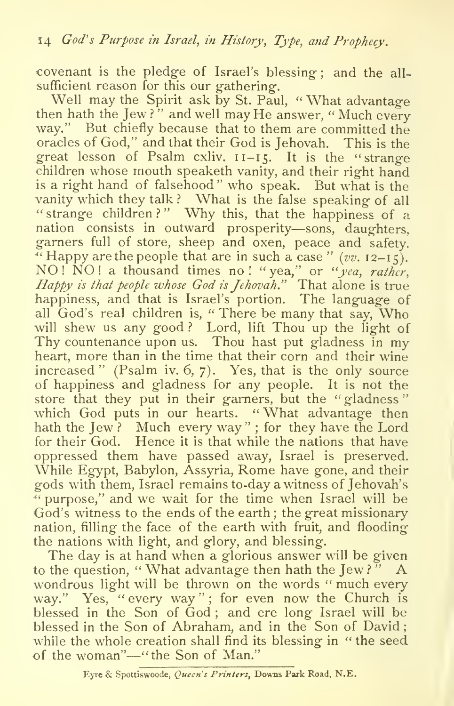covenant is the pledge of Israel's blessing ; and the all sufficient reason for this our gathering.

Well may the Spirit ask by St. Paul, " What advantage then hath the Jew?" and well may He answer, "Much every way." But chiefly because that to them are committed the oracles of God," and that their God is Jehovah. This is the great lesson of Psalm cxliv. 11-15. It is the "strange children whose mouth speaketh vanity, and their right hand is a right hand of falsehood" who speak. But what is the vanity which they talk? What is the false speaking of all strange children?" Why this, that the happiness of a nation consists in outward prosperity—sons, daughters, garners full of store, sheep and oxen, peace and safety. "Happy are the people that are in such a case "  $(vv. 12-15)$ . NO! NO! a thousand times no! "yea," or "yea, rather, Happy is that people whose God is Jehovah." That alone is true happiness, and that is Israel's portion. The language of all  $\overrightarrow{G}$  God's real children is, " There be many that say,  $\overrightarrow{W}$  Who will shew us any good? Lord, lift Thou up the light of Thy countenance upon us. Thou hast put gladness in my heart, more than in the time that their corn and their wine increased" (Psalm iv. 6, 7). Yes, that is the only source of happiness and gladness for any people. It is not the store that they put in their garners, but the "gladness" which God puts in our hearts. "What advantage then hath the Jew? Much every way"; for they have the Lord for their God. Hence it is that while the nations that have oppressed them have passed away, Israel is preserved. While Egypt, Babylon, Assyria, Rome have gone, and their gods with them, Israel remains to-day a witness of Jehovah's  $\alpha$  purpose," and we wait for the time when Israel will be God's witness to the ends of the earth ; the great missionary nation, filling the face of the earth with fruit, and flooding the nations with light, and glory, and blessing.

The day is at hand when a glorious answer will be given to the question, "What advantage then hath the Jew?" A wondrous light will be thrown on the words "much every way." Yes, "every way"; for even now the Church is blessed in the Son of God ; and ere long Israel will be blessed in the Son of Abraham, and in the Son of David while the whole creation shall find its blessing in " the seed of the woman"—"the Son of Man."

Eyre & Spottiswoode, Queen's Printers, Downs Park Road, N.E.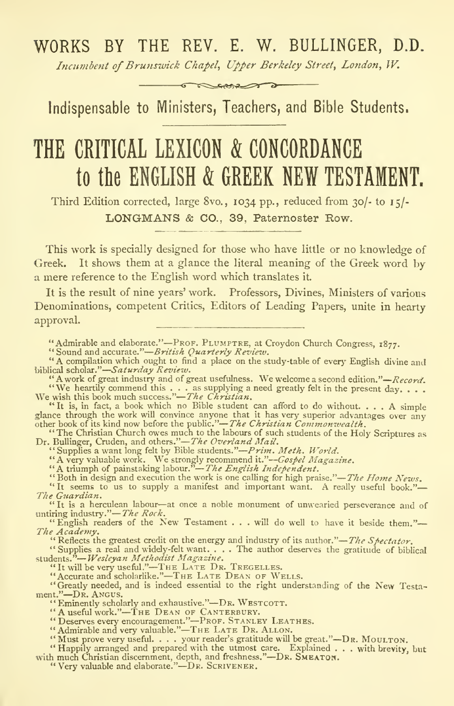# WORKS BY THE REV. E. W. BULLINGER, D.D.

Incumbent of Brunswick Chapel, Upper Berkeley Street, London, W.  $\infty$ cones

Indispensable to Ministers, Teachers, and Bible Students.

# THE CRITICAL LEXICON & CONCORDANCE to the ENGLISH & GREEK NEW TESTAMENT.

Third Edition corrected, large 8vo. , 1034 pp., reduced from 30/- to 15/- LONGMANS & CO., 39, Paternoster Row.

This work is specially designed for those who have little or no knowledge of Greek. It shows them at a glance the literal meaning of the Greek word by a mere reference to the English word which translates it

It is the result of nine years' work. Professors, Divines, Ministers of various Denominations, competent Critics, Editors of Leading Papers, unite in hearty approval.

"Admirable and elaborate."—Prof. PLUMPTRE, at Croydon Church Congress, 1877.<br>"Sound and accurate."—*British Quarterly Review.* 

British Quarterly Review. "A compilation which ought to find <sup>a</sup> place on the study-table of every English divine and biblical scholar."-Saturday Review.

"A work of great industry and of great usefulness. We welcome a second edition." $-Record$ . "A work of great industry and of great usefulness. We welcome a second edition."—  $RecorA$ .<br>We heartily commend this ... as supplying a need greatly felt in the present day. . . .<br>We wish this book much success."— $The$  Christi

"It is, in fact, a book which no Bible student can afford to do without.... A simple glance through the work will convince anyone that it has very superior advantages over any other book of its kind now before the public.

Dr. Bullinger, Cruden, and others."—*The Overland Mail.*"<br>
"Supplies a want long felt by Bible students."—*Prim. Meth. World.*<br>
"A very valuable work. We strongly recommend it."—*Gospel Magazine*.<br>
"A triumph of painstaki

"Both in design and execution the work is one calling for high praise."—The Home News.

"It seems to us to supply a manifest and important want. A really useful book."-The Guardian.

"It is<sup>a</sup> herculean labour—at once <sup>a</sup> noble monument of unwearied perseverance and of untiring industry."—*The Rock*.<br>"English readers of the New Testament . . . will do well to have it beside them."—

The Academy.<br>"Reflects the greatest credit on the energy and industry of its author."—*The Spectator*.

"Supplies a real and widely-felt want.... The author deserves the gratitude of biblical<br>students."—*Wesleyan Methodist Magazine*.<br>"It will be very useful."—THE LATE DR. TREGELLES.<br>"Accurate and scholarlike."—THE LATE DEAN

"Greatly needed, and is indeed essential to the right understanding of the New Testa-ment."-DR. ANGUS.

ment."—DR. ANGUS.<br>
"Eminenty scholarly and exhaustive."—DR. WESTCOTT.<br>
"A useful work."—THE DEAN OF CANTERBURY.<br>
"A useful work."—THE LEAN OF CANTERBURY.<br>
"Admirable and very valuable."—THE LATE LATED.<br>
"Must prove very us